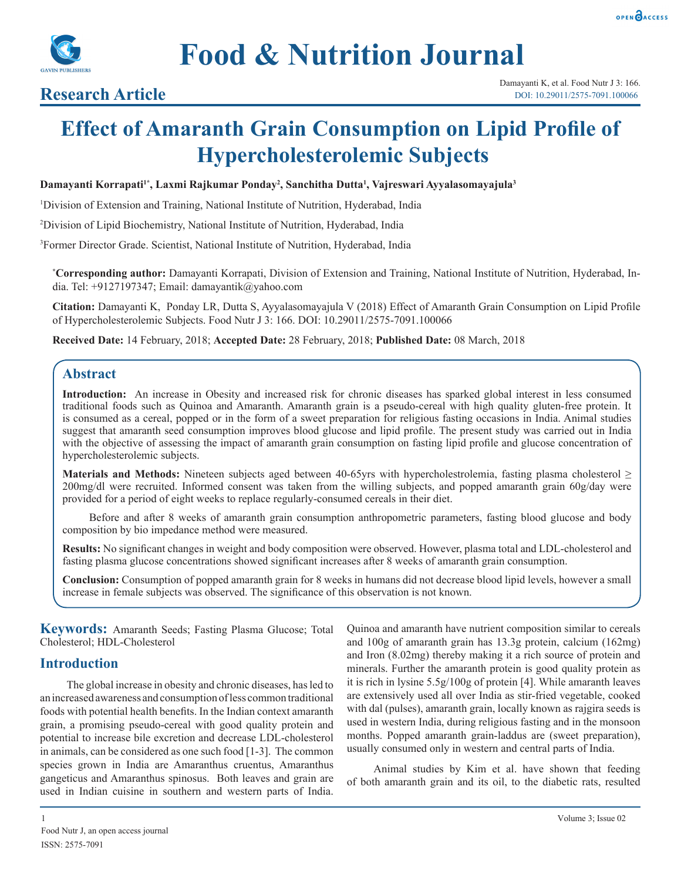



# **Research Article**

# **Effect of Amaranth Grain Consumption on Lipid Profile of Hypercholesterolemic Subjects**

#### **Damayanti Korrapati1\*, Laxmi Rajkumar Ponday2 , Sanchitha Dutta1 , Vajreswari Ayyalasomayajula3**

1 Division of Extension and Training, National Institute of Nutrition, Hyderabad, India

2 Division of Lipid Biochemistry, National Institute of Nutrition, Hyderabad, India

3 Former Director Grade. Scientist, National Institute of Nutrition, Hyderabad, India

**\* Corresponding author:** Damayanti Korrapati, Division of Extension and Training, National Institute of Nutrition, Hyderabad, India. Tel: +9127197347; Email: damayantik@yahoo.com

**Citation:** Damayanti K, Ponday LR, Dutta S, Ayyalasomayajula V (2018) Effect of Amaranth Grain Consumption on Lipid Profile of Hypercholesterolemic Subjects. Food Nutr J 3: 166. DOI: 10.29011/2575-7091.100066

**Received Date:** 14 February, 2018; **Accepted Date:** 28 February, 2018; **Published Date:** 08 March, 2018

#### **Abstract**

**Introduction:** An increase in Obesity and increased risk for chronic diseases has sparked global interest in less consumed traditional foods such as Quinoa and Amaranth. Amaranth grain is a pseudo-cereal with high quality gluten-free protein. It is consumed as a cereal, popped or in the form of a sweet preparation for religious fasting occasions in India. Animal studies suggest that amaranth seed consumption improves blood glucose and lipid profile. The present study was carried out in India with the objective of assessing the impact of amaranth grain consumption on fasting lipid profile and glucose concentration of hypercholesterolemic subjects.

**Materials and Methods:** Nineteen subjects aged between 40-65yrs with hypercholestrolemia, fasting plasma cholesterol ≥ 200mg/dl were recruited. Informed consent was taken from the willing subjects, and popped amaranth grain 60g/day were provided for a period of eight weeks to replace regularly-consumed cereals in their diet.

Before and after 8 weeks of amaranth grain consumption anthropometric parameters, fasting blood glucose and body composition by bio impedance method were measured.

**Results:** No significant changes in weight and body composition were observed. However, plasma total and LDL-cholesterol and fasting plasma glucose concentrations showed significant increases after 8 weeks of amaranth grain consumption.

**Conclusion:** Consumption of popped amaranth grain for 8 weeks in humans did not decrease blood lipid levels, however a small increase in female subjects was observed. The significance of this observation is not known.

**Keywords:** Amaranth Seeds; Fasting Plasma Glucose; Total Cholesterol; HDL-Cholesterol

#### **Introduction**

The global increase in obesity and chronic diseases, has led to an increased awareness and consumption of less common traditional foods with potential health benefits. In the Indian context amaranth grain, a promising pseudo-cereal with good quality protein and potential to increase bile excretion and decrease LDL-cholesterol in animals, can be considered as one such food [1-3]. The common species grown in India are Amaranthus cruentus, Amaranthus gangeticus and Amaranthus spinosus. Both leaves and grain are used in Indian cuisine in southern and western parts of India.

Quinoa and amaranth have nutrient composition similar to cereals and 100g of amaranth grain has 13.3g protein, calcium (162mg) and Iron (8.02mg) thereby making it a rich source of protein and minerals. Further the amaranth protein is good quality protein as it is rich in lysine 5.5g/100g of protein [4]. While amaranth leaves are extensively used all over India as stir-fried vegetable, cooked with dal (pulses), amaranth grain, locally known as rajgira seeds is used in western India, during religious fasting and in the monsoon months. Popped amaranth grain-laddus are (sweet preparation), usually consumed only in western and central parts of India.

Animal studies by Kim et al. have shown that feeding of both amaranth grain and its oil, to the diabetic rats, resulted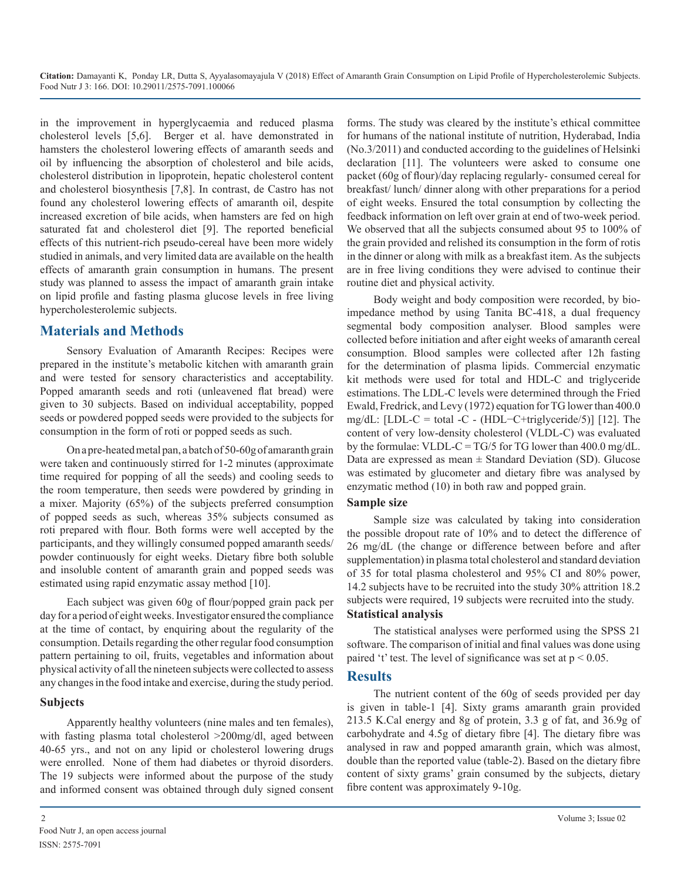**Citation:** Damayanti K, Ponday LR, Dutta S, Ayyalasomayajula V (2018) Effect of Amaranth Grain Consumption on Lipid Profile of Hypercholesterolemic Subjects. Food Nutr J 3: 166. DOI: 10.29011/2575-7091.100066

in the improvement in hyperglycaemia and reduced plasma cholesterol levels [5,6]. Berger et al. have demonstrated in hamsters the cholesterol lowering effects of amaranth seeds and oil by influencing the absorption of cholesterol and bile acids, cholesterol distribution in lipoprotein, hepatic cholesterol content and cholesterol biosynthesis [7,8]. In contrast, de Castro has not found any cholesterol lowering effects of amaranth oil, despite increased excretion of bile acids, when hamsters are fed on high saturated fat and cholesterol diet [9]. The reported beneficial effects of this nutrient-rich pseudo-cereal have been more widely studied in animals, and very limited data are available on the health effects of amaranth grain consumption in humans. The present study was planned to assess the impact of amaranth grain intake on lipid profile and fasting plasma glucose levels in free living hypercholesterolemic subjects.

#### **Materials and Methods**

Sensory Evaluation of Amaranth Recipes: Recipes were prepared in the institute's metabolic kitchen with amaranth grain and were tested for sensory characteristics and acceptability. Popped amaranth seeds and roti (unleavened flat bread) were given to 30 subjects. Based on individual acceptability, popped seeds or powdered popped seeds were provided to the subjects for consumption in the form of roti or popped seeds as such.

On a pre-heated metal pan, a batch of 50-60g of amaranth grain were taken and continuously stirred for 1-2 minutes (approximate time required for popping of all the seeds) and cooling seeds to the room temperature, then seeds were powdered by grinding in a mixer. Majority (65%) of the subjects preferred consumption of popped seeds as such, whereas 35% subjects consumed as roti prepared with flour. Both forms were well accepted by the participants, and they willingly consumed popped amaranth seeds/ powder continuously for eight weeks. Dietary fibre both soluble and insoluble content of amaranth grain and popped seeds was estimated using rapid enzymatic assay method [10].

Each subject was given 60g of flour/popped grain pack per day for a period of eight weeks. Investigator ensured the compliance at the time of contact, by enquiring about the regularity of the consumption. Details regarding the other regular food consumption pattern pertaining to oil, fruits, vegetables and information about physical activity of all the nineteen subjects were collected to assess any changes in the food intake and exercise, during the study period.

#### **Subjects**

Apparently healthy volunteers (nine males and ten females), with fasting plasma total cholesterol >200mg/dl, aged between 40-65 yrs., and not on any lipid or cholesterol lowering drugs were enrolled. None of them had diabetes or thyroid disorders. The 19 subjects were informed about the purpose of the study and informed consent was obtained through duly signed consent forms. The study was cleared by the institute's ethical committee for humans of the national institute of nutrition, Hyderabad, India (No.3/2011) and conducted according to the guidelines of Helsinki declaration [11]. The volunteers were asked to consume one packet (60g of flour)/day replacing regularly- consumed cereal for breakfast/ lunch/ dinner along with other preparations for a period of eight weeks. Ensured the total consumption by collecting the feedback information on left over grain at end of two-week period. We observed that all the subjects consumed about 95 to 100% of the grain provided and relished its consumption in the form of rotis in the dinner or along with milk as a breakfast item. As the subjects are in free living conditions they were advised to continue their routine diet and physical activity.

Body weight and body composition were recorded, by bioimpedance method by using Tanita BC-418, a dual frequency segmental body composition analyser. Blood samples were collected before initiation and after eight weeks of amaranth cereal consumption. Blood samples were collected after 12h fasting for the determination of plasma lipids. Commercial enzymatic kit methods were used for total and HDL-C and triglyceride estimations. The LDL-C levels were determined through the Fried Ewald, Fredrick, and Levy (1972) equation for TG lower than 400.0 mg/dL:  $[LDL-C = total -C - (HDL-C+triglyceride/5)]$  [12]. The content of very low-density cholesterol (VLDL-C) was evaluated by the formulae: VLDL-C = TG/5 for TG lower than  $400.0$  mg/dL. Data are expressed as mean  $\pm$  Standard Deviation (SD). Glucose was estimated by glucometer and dietary fibre was analysed by enzymatic method (10) in both raw and popped grain.

#### **Sample size**

Sample size was calculated by taking into consideration the possible dropout rate of 10% and to detect the difference of 26 mg/dL (the change or difference between before and after supplementation) in plasma total cholesterol and standard deviation of 35 for total plasma cholesterol and 95% CI and 80% power, 14.2 subjects have to be recruited into the study 30% attrition 18.2 subjects were required, 19 subjects were recruited into the study. **Statistical analysis**

The statistical analyses were performed using the SPSS 21 software. The comparison of initial and final values was done using paired 't' test. The level of significance was set at  $p < 0.05$ .

#### **Results**

The nutrient content of the 60g of seeds provided per day is given in table-1 [4]. Sixty grams amaranth grain provided 213.5 K.Cal energy and 8g of protein, 3.3 g of fat, and 36.9g of carbohydrate and 4.5g of dietary fibre [4]. The dietary fibre was analysed in raw and popped amaranth grain, which was almost, double than the reported value (table-2). Based on the dietary fibre content of sixty grams' grain consumed by the subjects, dietary fibre content was approximately 9-10g.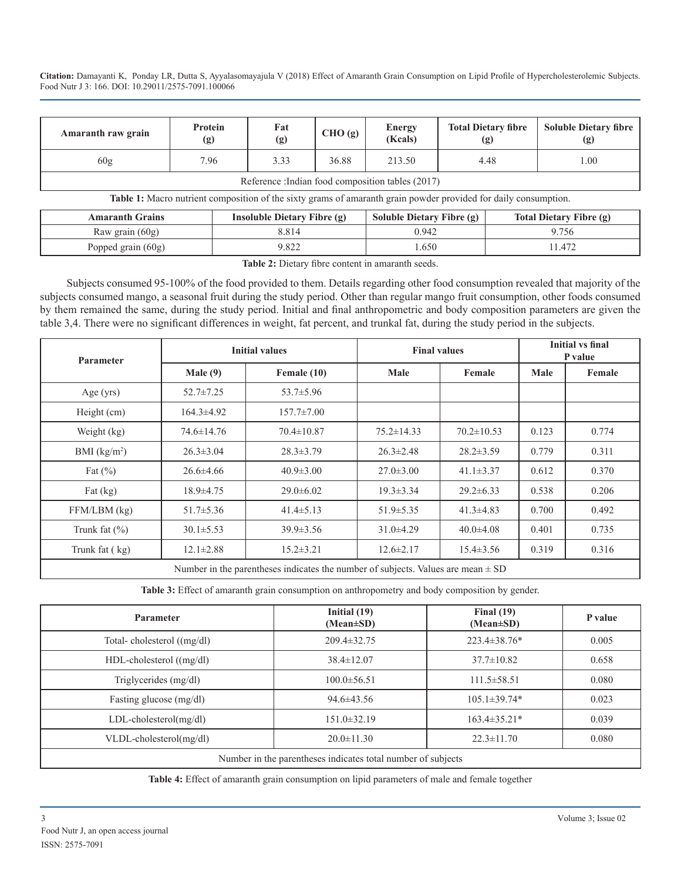**Citation:** Damayanti K, Ponday LR, Dutta S, Ayyalasomayajula V (2018) Effect of Amaranth Grain Consumption on Lipid Profile of Hypercholesterolemic Subjects. Food Nutr J 3: 166. DOI: 10.29011/2575-7091.100066

| <b>Amaranth raw grain</b>                        | Protein<br>(g) | Fat<br>(g) | CHO(g) | <b>Energy</b><br>(Kcals) | <b>Total Dietary fibre</b><br>(g) | <b>Soluble Dietary fibre</b><br>(g) |
|--------------------------------------------------|----------------|------------|--------|--------------------------|-----------------------------------|-------------------------------------|
| 60g                                              | 7.96           | 3.33       | 36.88  | 213.50                   | 4.48                              | 1.00                                |
| Reference: Indian food composition tables (2017) |                |            |        |                          |                                   |                                     |

**Table 1:** Macro nutrient composition of the sixty grams of amaranth grain powder provided for daily consumption.

| <b>Amaranth Grains</b> | Insoluble Dietary Fibre $(g)$ | Soluble Dietary Fibre (g) | <b>Total Dietary Fibre (g)</b> |
|------------------------|-------------------------------|---------------------------|--------------------------------|
| Raw grain $(60g)$      | 8.814                         | 0.942                     | 1.756                          |
| Popped grain $(60g)$   | 9.822                         | .650                      | .472                           |

**Table 2:** Dietary fibre content in amaranth seeds.

Subjects consumed 95-100% of the food provided to them. Details regarding other food consumption revealed that majority of the subjects consumed mango, a seasonal fruit during the study period. Other than regular mango fruit consumption, other foods consumed by them remained the same, during the study period. Initial and final anthropometric and body composition parameters are given the table 3,4. There were no significant differences in weight, fat percent, and trunkal fat, during the study period in the subjects.

| <b>Parameter</b>  | <b>Initial values</b> |                  | <b>Final values</b> |                  | <b>Initial vs final</b><br>P value |        |
|-------------------|-----------------------|------------------|---------------------|------------------|------------------------------------|--------|
|                   | Male $(9)$            | Female (10)      | Male                | Female           | Male                               | Female |
| Age $(yrs)$       | $52.7 \pm 7.25$       | $53.7 \pm 5.96$  |                     |                  |                                    |        |
| Height (cm)       | $164.3 \pm 4.92$      | $157.7 \pm 7.00$ |                     |                  |                                    |        |
| Weight (kg)       | $74.6 \pm 14.76$      | $70.4 \pm 10.87$ | $75.2 \pm 14.33$    | $70.2 \pm 10.53$ | 0.123                              | 0.774  |
| BMI $(kg/m2)$     | $26.3 \pm 3.04$       | $28.3 \pm 3.79$  | $26.3 \pm 2.48$     | $28.2 \pm 3.59$  | 0.779                              | 0.311  |
| Fat $(\%)$        | $26.6 \pm 4.66$       | $40.9 \pm 3.00$  | $27.0 \pm 3.00$     | $41.1 \pm 3.37$  | 0.612                              | 0.370  |
| Fat $(kg)$        | $18.9 \pm 4.75$       | $29.0 \pm 6.02$  | $19.3 \pm 3.34$     | $29.2 \pm 6.33$  | 0.538                              | 0.206  |
| FFM/LBM (kg)      | $51.7 \pm 5.36$       | $41.4 \pm 5.13$  | $51.9 \pm 5.35$     | $41.3 \pm 4.83$  | 0.700                              | 0.492  |
| Trunk fat $(\% )$ | $30.1 \pm 5.53$       | $39.9 \pm 3.56$  | $31.0\pm4.29$       | $40.0 \pm 4.08$  | 0.401                              | 0.735  |
| Trunk fat (kg)    | $12.1 \pm 2.88$       | $15.2 \pm 3.21$  | $12.6 \pm 2.17$     | $15.4 \pm 3.56$  | 0.319                              | 0.316  |

Number in the parentheses indicates the number of subjects. Values are mean  $\pm$  SD

**Table 3:** Effect of amaranth grain consumption on anthropometry and body composition by gender.

| <b>Parameter</b>                                             | Initial $(19)$<br>$(Mean \pm SD)$ | Final $(19)$<br>$(Mean \pm SD)$ | P value |  |  |
|--------------------------------------------------------------|-----------------------------------|---------------------------------|---------|--|--|
| Total-cholesterol $((mg/dl))$                                | $209.4 \pm 32.75$                 | $223.4 \pm 38.76*$              | 0.005   |  |  |
| $HDL$ -cholesterol $((mg/dl))$                               | $38.4 \pm 12.07$                  | $37.7 \pm 10.82$                | 0.658   |  |  |
| Triglycerides (mg/dl)                                        | $100.0 \pm 56.51$                 | $111.5 \pm 58.51$               | 0.080   |  |  |
| Fasting glucose (mg/dl)                                      | $94.6 \pm 43.56$                  | $105.1 \pm 39.74*$              | 0.023   |  |  |
| LDL-cholesterol(mg/dl)                                       | $151.0 \pm 32.19$                 | $163.4 \pm 35.21*$              | 0.039   |  |  |
| $VLDL$ -cholesterol $(mg/dl)$                                | $20.0 \pm 11.30$                  | $22.3 \pm 11.70$                | 0.080   |  |  |
| Number in the parentheses indicates total number of subjects |                                   |                                 |         |  |  |

**Table 4:** Effect of amaranth grain consumption on lipid parameters of male and female together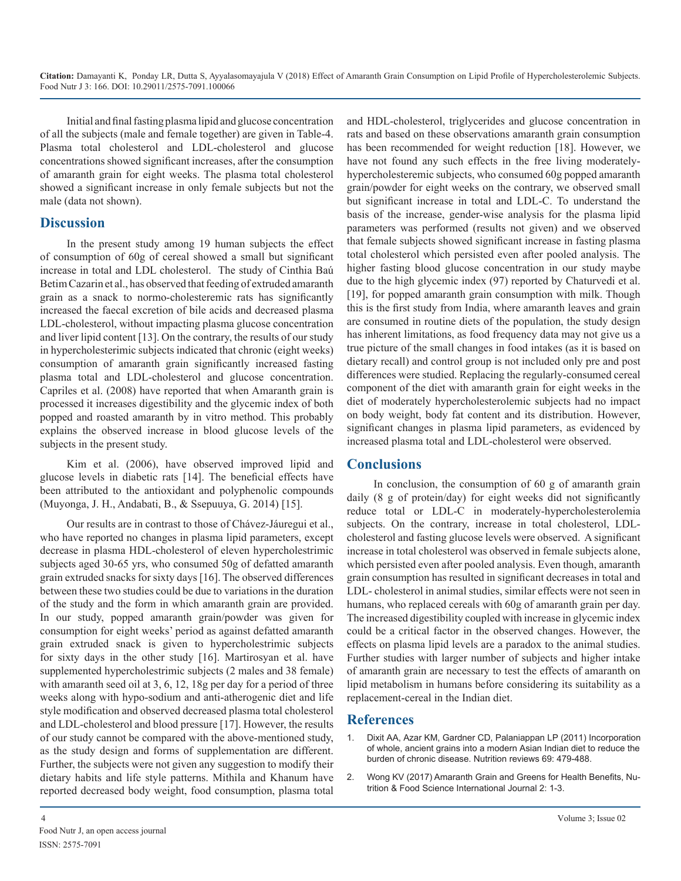Initial and final fasting plasma lipid and glucose concentration of all the subjects (male and female together) are given in Table-4. Plasma total cholesterol and LDL-cholesterol and glucose concentrations showed significant increases, after the consumption of amaranth grain for eight weeks. The plasma total cholesterol showed a significant increase in only female subjects but not the male (data not shown).

## **Discussion**

In the present study among 19 human subjects the effect of consumption of 60g of cereal showed a small but significant increase in total and LDL cholesterol. The study of Cinthia Baú Betim Cazarin et al., has observed that feeding of extruded amaranth grain as a snack to normo-cholesteremic rats has significantly increased the faecal excretion of bile acids and decreased plasma LDL-cholesterol, without impacting plasma glucose concentration and liver lipid content [13]. On the contrary, the results of our study in hypercholesterimic subjects indicated that chronic (eight weeks) consumption of amaranth grain significantly increased fasting plasma total and LDL-cholesterol and glucose concentration. Capriles et al. (2008) have reported that when Amaranth grain is processed it increases digestibility and the glycemic index of both popped and roasted amaranth by in vitro method. This probably explains the observed increase in blood glucose levels of the subjects in the present study.

Kim et al. (2006), have observed improved lipid and glucose levels in diabetic rats [14]. The beneficial effects have been attributed to the antioxidant and polyphenolic compounds (Muyonga, J. H., Andabati, B., & Ssepuuya, G. 2014) [15].

Our results are in contrast to those of Chávez-Jáuregui et al., who have reported no changes in plasma lipid parameters, except decrease in plasma HDL-cholesterol of eleven hypercholestrimic subjects aged 30-65 yrs, who consumed 50g of defatted amaranth grain extruded snacks for sixty days [16]. The observed differences between these two studies could be due to variations in the duration of the study and the form in which amaranth grain are provided. In our study, popped amaranth grain/powder was given for consumption for eight weeks' period as against defatted amaranth grain extruded snack is given to hypercholestrimic subjects for sixty days in the other study [16]. Martirosyan et al. have supplemented hypercholestrimic subjects (2 males and 38 female) with amaranth seed oil at 3, 6, 12, 18g per day for a period of three weeks along with hypo-sodium and anti-atherogenic diet and life style modification and observed decreased plasma total cholesterol and LDL-cholesterol and blood pressure [17]. However, the results of our study cannot be compared with the above-mentioned study, as the study design and forms of supplementation are different. Further, the subjects were not given any suggestion to modify their dietary habits and life style patterns. Mithila and Khanum have reported decreased body weight, food consumption, plasma total

and HDL-cholesterol, triglycerides and glucose concentration in rats and based on these observations amaranth grain consumption has been recommended for weight reduction [18]. However, we have not found any such effects in the free living moderatelyhypercholesteremic subjects, who consumed 60g popped amaranth grain/powder for eight weeks on the contrary, we observed small but significant increase in total and LDL-C. To understand the basis of the increase, gender-wise analysis for the plasma lipid parameters was performed (results not given) and we observed that female subjects showed significant increase in fasting plasma total cholesterol which persisted even after pooled analysis. The higher fasting blood glucose concentration in our study maybe due to the high glycemic index (97) reported by Chaturvedi et al. [19], for popped amaranth grain consumption with milk. Though this is the first study from India, where amaranth leaves and grain are consumed in routine diets of the population, the study design has inherent limitations, as food frequency data may not give us a true picture of the small changes in food intakes (as it is based on dietary recall) and control group is not included only pre and post differences were studied. Replacing the regularly-consumed cereal component of the diet with amaranth grain for eight weeks in the diet of moderately hypercholesterolemic subjects had no impact on body weight, body fat content and its distribution. However, significant changes in plasma lipid parameters, as evidenced by increased plasma total and LDL-cholesterol were observed.

# **Conclusions**

In conclusion, the consumption of 60 g of amaranth grain daily (8 g of protein/day) for eight weeks did not significantly reduce total or LDL-C in moderately-hypercholesterolemia subjects. On the contrary, increase in total cholesterol, LDLcholesterol and fasting glucose levels were observed. A significant increase in total cholesterol was observed in female subjects alone, which persisted even after pooled analysis. Even though, amaranth grain consumption has resulted in significant decreases in total and LDL- cholesterol in animal studies, similar effects were not seen in humans, who replaced cereals with 60g of amaranth grain per day. The increased digestibility coupled with increase in glycemic index could be a critical factor in the observed changes. However, the effects on plasma lipid levels are a paradox to the animal studies. Further studies with larger number of subjects and higher intake of amaranth grain are necessary to test the effects of amaranth on lipid metabolism in humans before considering its suitability as a replacement-cereal in the Indian diet.

## **References**

- 1. [Dixit AA, Azar KM, Gardner CD, Palaniappan LP \(2011\) Incorporation](https://www.ncbi.nlm.nih.gov/pubmed/21790614)  of whole, ancient grains into a modern Asian Indian diet to reduce the [burden of chronic disease.](https://www.ncbi.nlm.nih.gov/pubmed/21790614) Nutrition reviews 69: 479-488.
- 2. [Wong KV \(2017\) Amaranth Grain and Greens for Health Benefits, Nu](https://juniperpublishers.com/nfsij/pdf/NFSIJ.MS.ID.555584.pdf)trition & Food Science International Journal 2: 1-3.